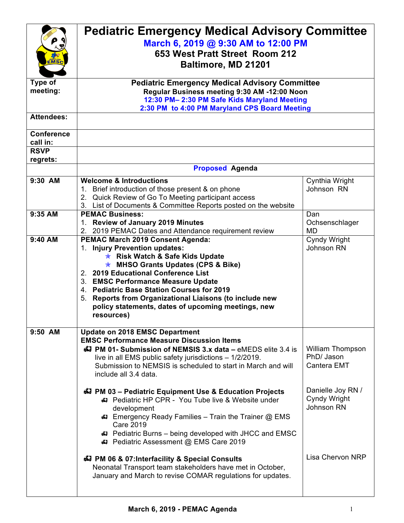| $\mathbf{M}\mathbf{S}\mathbf{C}$             | <b>Pediatric Emergency Medical Advisory Committee</b><br>March 6, 2019 @ 9:30 AM to 12:00 PM<br>653 West Pratt Street Room 212<br>Baltimore, MD 21201                                                                                                                                                                                                                                                                      |                                                      |  |
|----------------------------------------------|----------------------------------------------------------------------------------------------------------------------------------------------------------------------------------------------------------------------------------------------------------------------------------------------------------------------------------------------------------------------------------------------------------------------------|------------------------------------------------------|--|
| Type of<br>meeting:                          | <b>Pediatric Emergency Medical Advisory Committee</b><br>Regular Business meeting 9:30 AM -12:00 Noon<br>12:30 PM- 2:30 PM Safe Kids Maryland Meeting<br>2:30 PM to 4:00 PM Maryland CPS Board Meeting                                                                                                                                                                                                                     |                                                      |  |
| <b>Attendees:</b>                            |                                                                                                                                                                                                                                                                                                                                                                                                                            |                                                      |  |
| <b>Conference</b><br>call in:<br><b>RSVP</b> |                                                                                                                                                                                                                                                                                                                                                                                                                            |                                                      |  |
| regrets:                                     |                                                                                                                                                                                                                                                                                                                                                                                                                            |                                                      |  |
|                                              | <b>Proposed Agenda</b>                                                                                                                                                                                                                                                                                                                                                                                                     |                                                      |  |
| 9:30 AM                                      | <b>Welcome &amp; Introductions</b><br>1. Brief introduction of those present & on phone<br>2. Quick Review of Go To Meeting participant access<br>3. List of Documents & Committee Reports posted on the website                                                                                                                                                                                                           | Cynthia Wright<br>Johnson RN                         |  |
| 9:35 AM                                      | <b>PEMAC Business:</b><br>1. Review of January 2019 Minutes<br>2. 2019 PEMAC Dates and Attendance requirement review                                                                                                                                                                                                                                                                                                       | Dan<br>Ochsenschlager<br><b>MD</b>                   |  |
| 9:40 AM                                      | PEMAC March 2019 Consent Agenda:<br>1. Injury Prevention updates:<br><b>★ Risk Watch &amp; Safe Kids Update</b><br><b>★ MHSO Grants Updates (CPS &amp; Bike)</b><br>2. 2019 Educational Conference List<br>3. EMSC Performance Measure Update<br>4. Pediatric Base Station Courses for 2019<br>5. Reports from Organizational Liaisons (to include new<br>policy statements, dates of upcoming meetings, new<br>resources) | Cyndy Wright<br>Johnson RN                           |  |
| $9:50$ AM                                    | <b>Update on 2018 EMSC Department</b><br><b>EMSC Performance Measure Discussion Items</b><br>47 PM 01- Submission of NEMSIS 3.x data - eMEDS elite 3.4 is<br>live in all EMS public safety jurisdictions - 1/2/2019.<br>Submission to NEMSIS is scheduled to start in March and will<br>include all 3.4 data.                                                                                                              | <b>William Thompson</b><br>PhD/ Jason<br>Cantera EMT |  |
|                                              | 47 PM 03 - Pediatric Equipment Use & Education Projects<br>#3 Pediatric HP CPR - You Tube live & Website under<br>development<br><b>43</b> Emergency Ready Families – Train the Trainer @ EMS<br><b>Care 2019</b><br><b>47</b> Pediatric Burns – being developed with JHCC and EMSC<br>Pediatric Assessment @ EMS Care 2019                                                                                                | Danielle Joy RN /<br>Cyndy Wright<br>Johnson RN      |  |
|                                              | 47 PM 06 & 07: Interfacility & Special Consults<br>Neonatal Transport team stakeholders have met in October,<br>January and March to revise COMAR regulations for updates.                                                                                                                                                                                                                                                 | Lisa Chervon NRP                                     |  |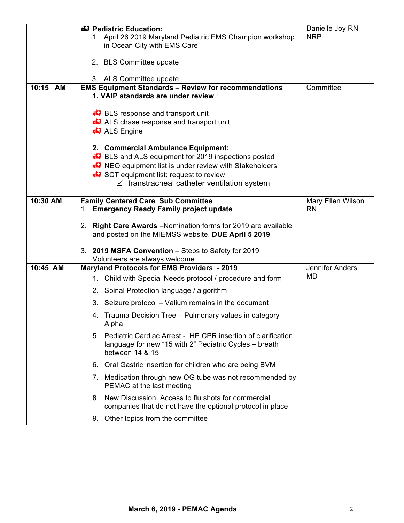|          | 47 Pediatric Education:                                                                                                                      | Danielle Joy RN   |
|----------|----------------------------------------------------------------------------------------------------------------------------------------------|-------------------|
|          | 1. April 26 2019 Maryland Pediatric EMS Champion workshop                                                                                    | <b>NRP</b>        |
|          | in Ocean City with EMS Care                                                                                                                  |                   |
|          | 2. BLS Committee update                                                                                                                      |                   |
|          |                                                                                                                                              |                   |
| 10:15 AM | 3. ALS Committee update<br><b>EMS Equipment Standards - Review for recommendations</b>                                                       | Committee         |
|          | 1. VAIP standards are under review :                                                                                                         |                   |
|          | <b>BLS</b> response and transport unit                                                                                                       |                   |
|          | <b>43</b> ALS chase response and transport unit                                                                                              |                   |
|          | <b>47</b> ALS Engine                                                                                                                         |                   |
|          | 2. Commercial Ambulance Equipment:                                                                                                           |                   |
|          | <b>E</b> BLS and ALS equipment for 2019 inspections posted                                                                                   |                   |
|          | A NEO equipment list is under review with Stakeholders                                                                                       |                   |
|          | <b>C</b> SCT equipment list: request to review                                                                                               |                   |
|          | $\triangledown$ transtracheal catheter ventilation system                                                                                    |                   |
| 10:30 AM | <b>Family Centered Care Sub Committee</b>                                                                                                    | Mary Ellen Wilson |
|          | 1. Emergency Ready Family project update                                                                                                     | <b>RN</b>         |
|          | 2. Right Care Awards - Nomination forms for 2019 are available<br>and posted on the MIEMSS website. DUE April 5 2019                         |                   |
|          | 3. 2019 MSFA Convention - Steps to Safety for 2019                                                                                           |                   |
|          | Volunteers are always welcome.                                                                                                               |                   |
| 10:45 AM | <b>Maryland Protocols for EMS Providers - 2019</b>                                                                                           | Jennifer Anders   |
|          | 1. Child with Special Needs protocol / procedure and form                                                                                    | <b>MD</b>         |
|          | 2. Spinal Protection language / algorithm                                                                                                    |                   |
|          | 3. Seizure protocol - Valium remains in the document                                                                                         |                   |
|          | 4. Trauma Decision Tree – Pulmonary values in category<br>Alpha                                                                              |                   |
|          | 5. Pediatric Cardiac Arrest - HP CPR insertion of clarification<br>language for new "15 with 2" Pediatric Cycles - breath<br>between 14 & 15 |                   |
|          | 6. Oral Gastric insertion for children who are being BVM                                                                                     |                   |
|          | 7. Medication through new OG tube was not recommended by<br>PEMAC at the last meeting                                                        |                   |
|          | 8. New Discussion: Access to flu shots for commercial<br>companies that do not have the optional protocol in place                           |                   |
|          | 9. Other topics from the committee                                                                                                           |                   |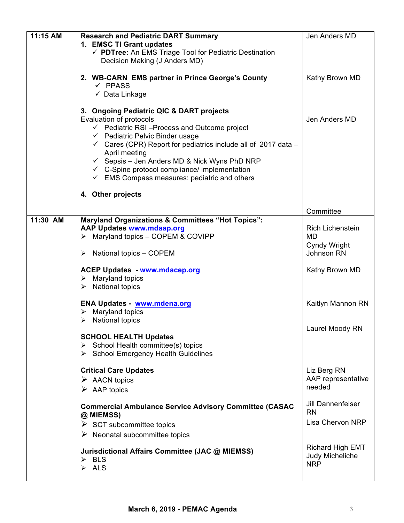| 11:15 AM | <b>Research and Pediatric DART Summary</b><br>1. EMSC TI Grant updates<br>← PDTree: An EMS Triage Tool for Pediatric Destination<br>Decision Making (J Anders MD)                                                                                                                                                                                                                                                                                                     | Jen Anders MD                                                                 |
|----------|-----------------------------------------------------------------------------------------------------------------------------------------------------------------------------------------------------------------------------------------------------------------------------------------------------------------------------------------------------------------------------------------------------------------------------------------------------------------------|-------------------------------------------------------------------------------|
|          | 2. WB-CARN EMS partner in Prince George's County<br>$\checkmark$ PPASS<br>$\checkmark$ Data Linkage                                                                                                                                                                                                                                                                                                                                                                   | Kathy Brown MD                                                                |
|          | 3. Ongoing Pediatric QIC & DART projects<br>Evaluation of protocols<br>$\checkmark$ Pediatric RSI-Process and Outcome project<br>$\checkmark$ Pediatric Pelvic Binder usage<br>$\checkmark$ Cares (CPR) Report for pediatrics include all of 2017 data -<br>April meeting<br>← Sepsis – Jen Anders MD & Nick Wyns PhD NRP<br>$\checkmark$ C-Spine protocol compliance/ implementation<br>$\checkmark$ EMS Compass measures: pediatric and others<br>4. Other projects | Jen Anders MD                                                                 |
|          |                                                                                                                                                                                                                                                                                                                                                                                                                                                                       | Committee                                                                     |
| 11:30 AM | <b>Maryland Organizations &amp; Committees "Hot Topics":</b><br><b>AAP Updates www.mdaap.org</b><br>$\triangleright$ Maryland topics - COPEM & COVIPP<br>National topics - COPEM<br>➤<br><b>ACEP Updates - www.mdacep.org</b>                                                                                                                                                                                                                                         | <b>Rich Lichenstein</b><br>MD<br>Cyndy Wright<br>Johnson RN<br>Kathy Brown MD |
|          | $\triangleright$ Maryland topics<br>$\triangleright$ National topics                                                                                                                                                                                                                                                                                                                                                                                                  |                                                                               |
|          | <b>ENA Updates - www.mdena.org</b><br>Maryland topics<br>➤<br>$\triangleright$ National topics                                                                                                                                                                                                                                                                                                                                                                        | Kaitlyn Mannon RN                                                             |
|          | <b>SCHOOL HEALTH Updates</b><br>$\triangleright$ School Health committee(s) topics<br>School Emergency Health Guidelines                                                                                                                                                                                                                                                                                                                                              | Laurel Moody RN                                                               |
|          | <b>Critical Care Updates</b><br>$\triangleright$ AACN topics<br>$\triangleright$ AAP topics                                                                                                                                                                                                                                                                                                                                                                           | Liz Berg RN<br>AAP representative<br>needed                                   |
|          | <b>Commercial Ambulance Service Advisory Committee (CASAC</b><br>@ MIEMSS)<br>$\triangleright$ SCT subcommittee topics<br>$\triangleright$ Neonatal subcommittee topics                                                                                                                                                                                                                                                                                               | <b>Jill Dannenfelser</b><br><b>RN</b><br>Lisa Chervon NRP                     |
|          | Jurisdictional Affairs Committee (JAC @ MIEMSS)<br>$\triangleright$ BLS<br>$\triangleright$ ALS                                                                                                                                                                                                                                                                                                                                                                       | <b>Richard High EMT</b><br>Judy Micheliche<br><b>NRP</b>                      |